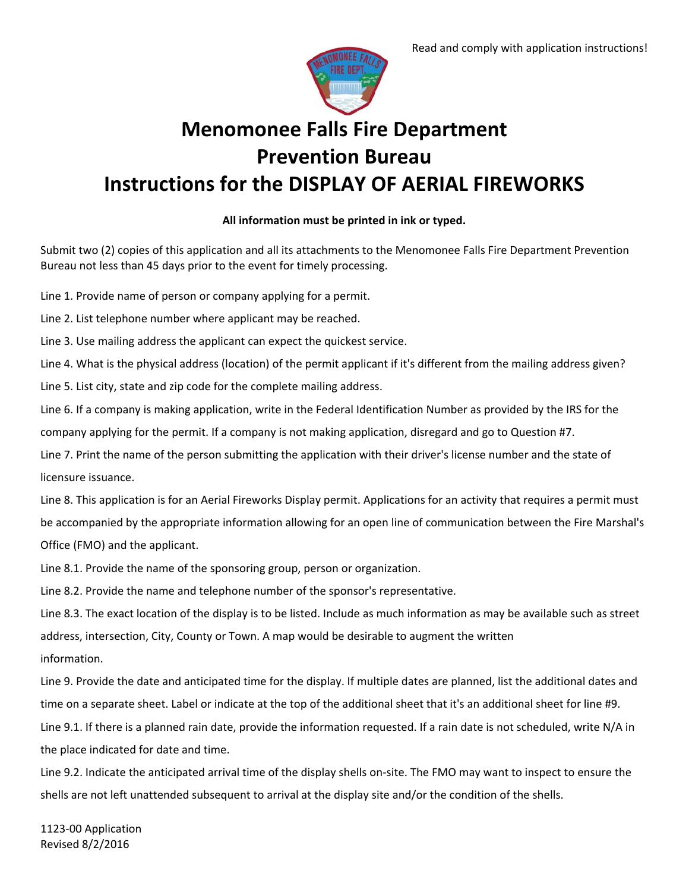

# **Menomonee Falls Fire Department Prevention Bureau Instructions for the DISPLAY OF AERIAL FIREWORKS**

## **All information must be printed in ink or typed.**

Submit two (2) copies of this application and all its attachments to the Menomonee Falls Fire Department Prevention Bureau not less than 45 days prior to the event for timely processing.

Line 1. Provide name of person or company applying for a permit.

Line 2. List telephone number where applicant may be reached.

Line 3. Use mailing address the applicant can expect the quickest service.

Line 4. What is the physical address (location) of the permit applicant if it's different from the mailing address given?

Line 5. List city, state and zip code for the complete mailing address.

Line 6. If a company is making application, write in the Federal Identification Number as provided by the IRS for the company applying for the permit. If a company is not making application, disregard and go to Question #7.

Line 7. Print the name of the person submitting the application with their driver's license number and the state of licensure issuance.

Line 8. This application is for an Aerial Fireworks Display permit. Applications for an activity that requires a permit must be accompanied by the appropriate information allowing for an open line of communication between the Fire Marshal's Office (FMO) and the applicant.

Line 8.1. Provide the name of the sponsoring group, person or organization.

Line 8.2. Provide the name and telephone number of the sponsor's representative.

Line 8.3. The exact location of the display is to be listed. Include as much information as may be available such as street address, intersection, City, County or Town. A map would be desirable to augment the written information.

Line 9. Provide the date and anticipated time for the display. If multiple dates are planned, list the additional dates and time on a separate sheet. Label or indicate at the top of the additional sheet that it's an additional sheet for line #9.

Line 9.1. If there is a planned rain date, provide the information requested. If a rain date is not scheduled, write N/A in the place indicated for date and time.

Line 9.2. Indicate the anticipated arrival time of the display shells on-site. The FMO may want to inspect to ensure the shells are not left unattended subsequent to arrival at the display site and/or the condition of the shells.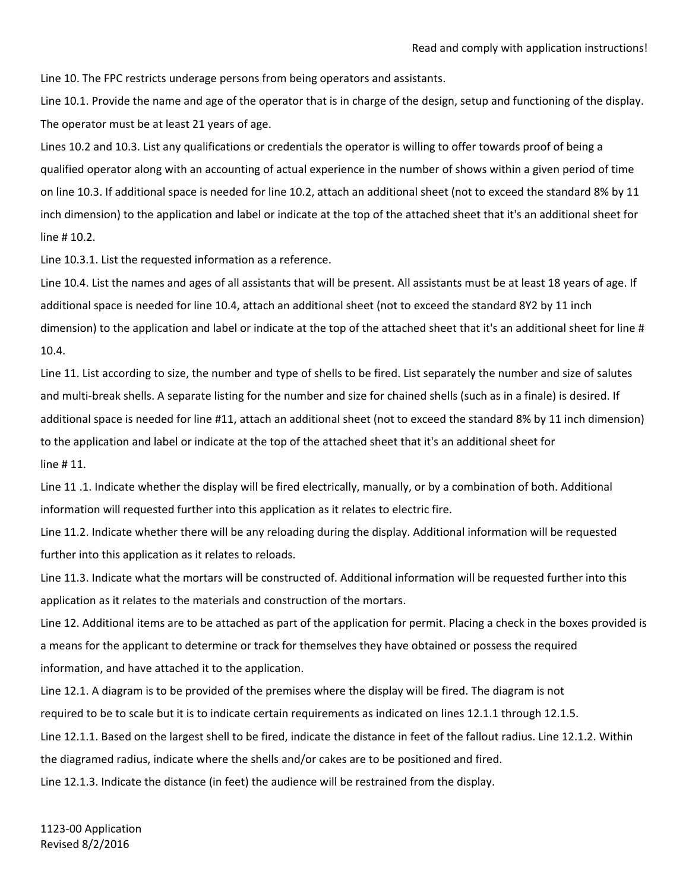Line 10. The FPC restricts underage persons from being operators and assistants.

Line 10.1. Provide the name and age of the operator that is in charge of the design, setup and functioning of the display. The operator must be at least 21 years of age.

Lines 10.2 and 10.3. List any qualifications or credentials the operator is willing to offer towards proof of being a qualified operator along with an accounting of actual experience in the number of shows within a given period of time on line 10.3. If additional space is needed for line 10.2, attach an additional sheet (not to exceed the standard 8% by 11 inch dimension) to the application and label or indicate at the top of the attached sheet that it's an additional sheet for line # 10.2.

Line 10.3.1. List the requested information as a reference.

Line 10.4. List the names and ages of all assistants that will be present. All assistants must be at least 18 years of age. If additional space is needed for line 10.4, attach an additional sheet (not to exceed the standard 8Y2 by 11 inch dimension) to the application and label or indicate at the top of the attached sheet that it's an additional sheet for line # 10.4.

Line 11. List according to size, the number and type of shells to be fired. List separately the number and size of salutes and multi-break shells. A separate listing for the number and size for chained shells (such as in a finale) is desired. If additional space is needed for line #11, attach an additional sheet (not to exceed the standard 8% by 11 inch dimension) to the application and label or indicate at the top of the attached sheet that it's an additional sheet for line # 11.

Line 11 .1. Indicate whether the display will be fired electrically, manually, or by a combination of both. Additional information will requested further into this application as it relates to electric fire.

Line 11.2. Indicate whether there will be any reloading during the display. Additional information will be requested further into this application as it relates to reloads.

Line 11.3. Indicate what the mortars will be constructed of. Additional information will be requested further into this application as it relates to the materials and construction of the mortars.

Line 12. Additional items are to be attached as part of the application for permit. Placing a check in the boxes provided is a means for the applicant to determine or track for themselves they have obtained or possess the required information, and have attached it to the application.

Line 12.1. A diagram is to be provided of the premises where the display will be fired. The diagram is not required to be to scale but it is to indicate certain requirements as indicated on lines 12.1.1 through 12.1.5.

Line 12.1.1. Based on the largest shell to be fired, indicate the distance in feet of the fallout radius. Line 12.1.2. Within the diagramed radius, indicate where the shells and/or cakes are to be positioned and fired.

Line 12.1.3. Indicate the distance (in feet) the audience will be restrained from the display.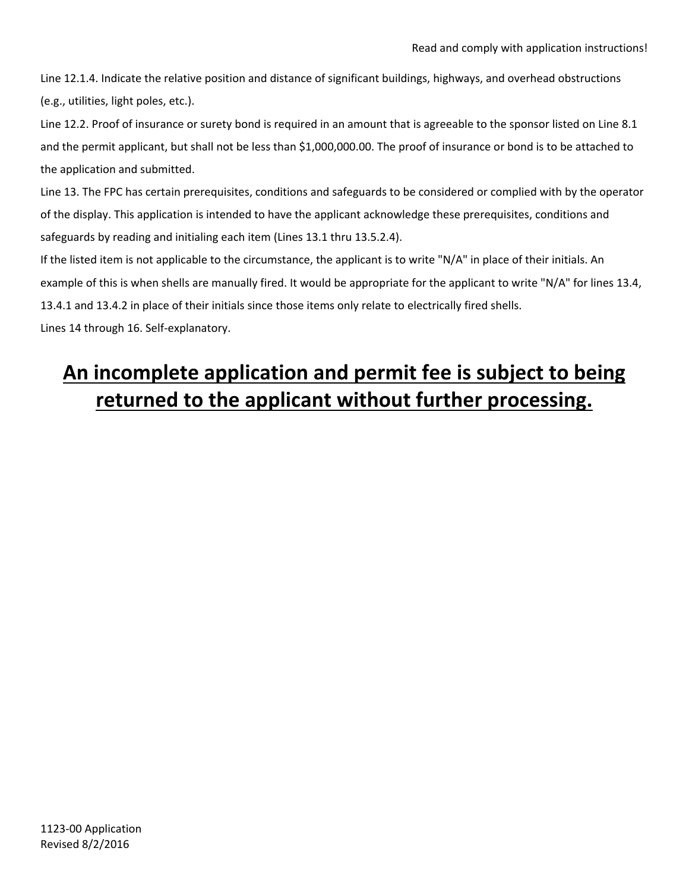Line 12.1.4. Indicate the relative position and distance of significant buildings, highways, and overhead obstructions (e.g., utilities, light poles, etc.).

Line 12.2. Proof of insurance or surety bond is required in an amount that is agreeable to the sponsor listed on Line 8.1 and the permit applicant, but shall not be less than \$1,000,000.00. The proof of insurance or bond is to be attached to the application and submitted.

Line 13. The FPC has certain prerequisites, conditions and safeguards to be considered or complied with by the operator of the display. This application is intended to have the applicant acknowledge these prerequisites, conditions and safeguards by reading and initialing each item (Lines 13.1 thru 13.5.2.4).

If the listed item is not applicable to the circumstance, the applicant is to write "N/A" in place of their initials. An example of this is when shells are manually fired. It would be appropriate for the applicant to write "N/A" for lines 13.4, 13.4.1 and 13.4.2 in place of their initials since those items only relate to electrically fired shells.

Lines 14 through 16. Self‐explanatory.

## **An incomplete application and permit fee is subject to being returned to the applicant without further processing.**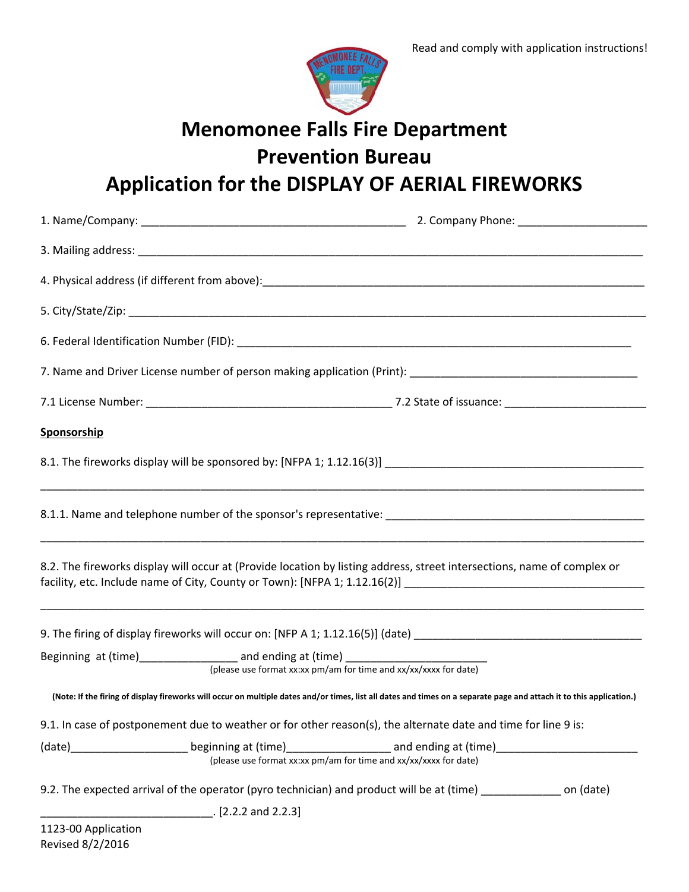

# **Menomonee Falls Fire Department**

**Prevention Bureau**

**Application for the DISPLAY OF AERIAL FIREWORKS**

| Sponsorship                                                                      |                                                                                                                                                                                                                                           |
|----------------------------------------------------------------------------------|-------------------------------------------------------------------------------------------------------------------------------------------------------------------------------------------------------------------------------------------|
|                                                                                  |                                                                                                                                                                                                                                           |
|                                                                                  |                                                                                                                                                                                                                                           |
|                                                                                  | 8.2. The fireworks display will occur at (Provide location by listing address, street intersections, name of complex or<br>facility, etc. Include name of City, County or Town): [NFPA 1; 1.12.16(2)] ___________________________________ |
|                                                                                  | 9. The firing of display fireworks will occur on: [NFP A 1; 1.12.16(5)] (date) ________________________________                                                                                                                           |
| Beginning at (time)____________________ and ending at (time) ___________________ | (please use format xx:xx pm/am for time and xx/xx/xxxx for date)                                                                                                                                                                          |
|                                                                                  | (Note: If the firing of display fireworks will occur on multiple dates and/or times, list all dates and times on a separate page and attach it to this application.)                                                                      |
|                                                                                  | 9.1. In case of postponement due to weather or for other reason(s), the alternate date and time for line 9 is:                                                                                                                            |
|                                                                                  | (please use format xx:xx pm/am for time and xx/xx/xxxx for date)                                                                                                                                                                          |
|                                                                                  | 9.2. The expected arrival of the operator (pyro technician) and product will be at (time) __________ on (date)                                                                                                                            |
| $[2.2.2 \text{ and } 2.2.3]$                                                     |                                                                                                                                                                                                                                           |
| 1123-00 Application<br>Revised 8/2/2016                                          |                                                                                                                                                                                                                                           |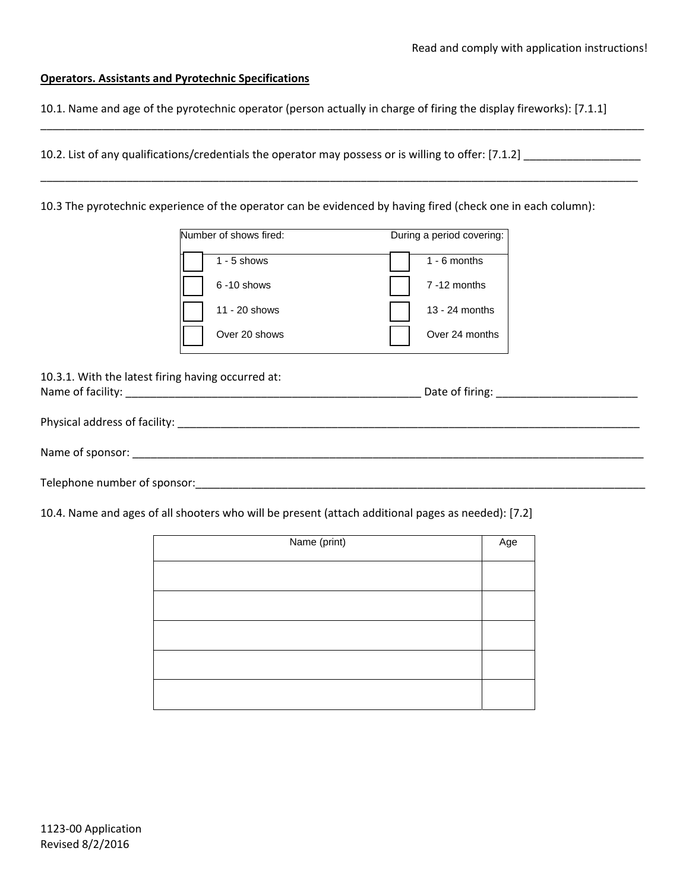### **Operators. Assistants and Pyrotechnic Specifications**

10.1. Name and age of the pyrotechnic operator (person actually in charge of firing the display fireworks): [7.1.1]

\_\_\_\_\_\_\_\_\_\_\_\_\_\_\_\_\_\_\_\_\_\_\_\_\_\_\_\_\_\_\_\_\_\_\_\_\_\_\_\_\_\_\_\_\_\_\_\_\_\_\_\_\_\_\_\_\_\_\_\_\_\_\_\_\_\_\_\_\_\_\_\_\_\_\_\_\_\_\_\_\_\_\_\_\_\_\_\_\_\_\_\_\_\_\_\_\_\_

\_\_\_\_\_\_\_\_\_\_\_\_\_\_\_\_\_\_\_\_\_\_\_\_\_\_\_\_\_\_\_\_\_\_\_\_\_\_\_\_\_\_\_\_\_\_\_\_\_\_\_\_\_\_\_\_\_\_\_\_\_\_\_\_\_\_\_\_\_\_\_\_\_\_\_\_\_\_\_\_\_\_\_\_\_\_\_\_\_\_\_\_\_\_\_\_\_

10.2. List of any qualifications/credentials the operator may possess or is willing to offer: [7.1.2] \_\_\_\_\_\_\_\_\_\_\_\_\_\_\_\_\_\_\_

10.3 The pyrotechnic experience of the operator can be evidenced by having fired (check one in each column):

| Number of shows fired: |                | During a period covering: |
|------------------------|----------------|---------------------------|
|                        | $1 - 5$ shows  | $1 - 6$ months            |
|                        | $6 - 10$ shows | $7 - 12$ months           |
|                        | 11 - 20 shows  | 13 - 24 months            |
|                        | Over 20 shows  | Over 24 months            |

10.3.1. With the latest firing having occurred at: Name of facility: \_\_\_\_\_\_\_\_\_\_\_\_\_\_\_\_\_\_\_\_\_\_\_\_\_\_\_\_\_\_\_\_\_\_\_\_\_\_\_\_\_\_\_\_\_\_\_\_ Date of firing: \_\_\_\_\_\_\_\_\_\_\_\_\_\_\_\_\_\_\_\_\_\_\_

Physical address of facility: \_\_\_\_\_\_\_\_\_\_\_\_\_\_\_\_\_\_\_\_\_\_\_\_\_\_\_\_\_\_\_\_\_\_\_\_\_\_\_\_\_\_\_\_\_\_\_\_\_\_\_\_\_\_\_\_\_\_\_\_\_\_\_\_\_\_\_\_\_\_\_\_\_\_\_

Name of sponsor:

Telephone number of sponsor: example and the set of sponsors of sponsors and the set of sponsors of sponsors of sponsors and the set of sponsors of sponsors and the set of sponsors of sponsors and the set of sponsors of sp

10.4. Name and ages of all shooters who will be present (attach additional pages as needed): [7.2]

| Name (print) | Age |
|--------------|-----|
|              |     |
|              |     |
|              |     |
|              |     |
|              |     |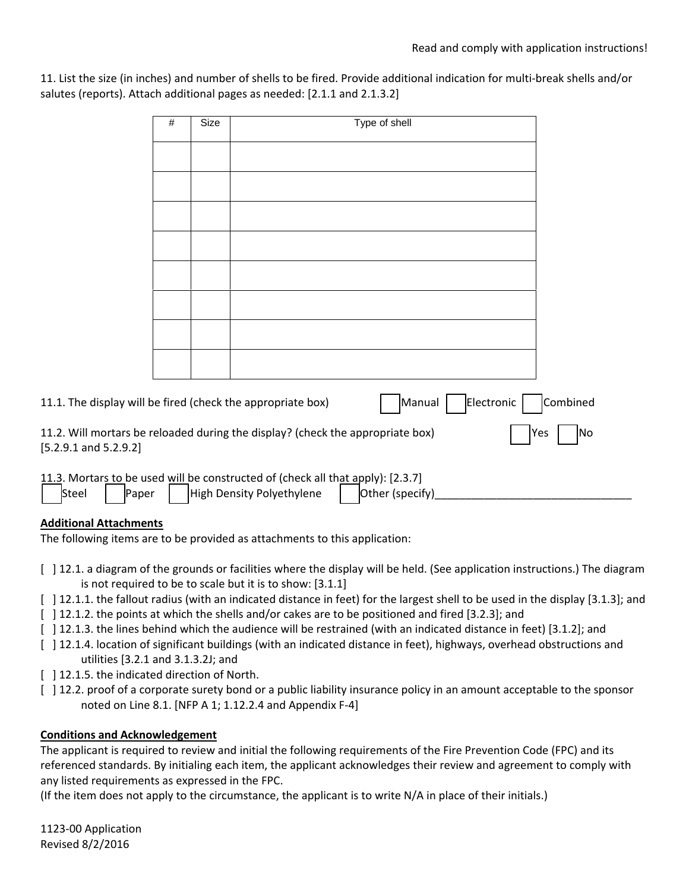11. List the size (in inches) and number of shells to be fired. Provide additional indication for multi‐break shells and/or salutes (reports). Attach additional pages as needed: [2.1.1 and 2.1.3.2]

|                                                             | $\#$ | Size | Type of shell                                                                                                                   |            |
|-------------------------------------------------------------|------|------|---------------------------------------------------------------------------------------------------------------------------------|------------|
|                                                             |      |      |                                                                                                                                 |            |
|                                                             |      |      |                                                                                                                                 |            |
|                                                             |      |      |                                                                                                                                 |            |
|                                                             |      |      |                                                                                                                                 |            |
|                                                             |      |      |                                                                                                                                 |            |
|                                                             |      |      |                                                                                                                                 |            |
|                                                             |      |      |                                                                                                                                 |            |
|                                                             |      |      |                                                                                                                                 |            |
|                                                             |      |      |                                                                                                                                 |            |
|                                                             |      |      |                                                                                                                                 |            |
|                                                             |      |      |                                                                                                                                 |            |
| 11.1. The display will be fired (check the appropriate box) |      |      | Manual<br>Electronic                                                                                                            | Combined   |
|                                                             |      |      | 11.2. Will mortars be reloaded during the display? (check the appropriate box)                                                  | Yes<br> No |
| $[5.2.9.1$ and $5.2.9.2]$                                   |      |      |                                                                                                                                 |            |
| Steel<br>Paper                                              |      |      | 11.3. Mortars to be used will be constructed of (check all that apply): [2.3.7]<br>High Density Polyethylene<br>Other (specify) |            |

## **Additional Attachments**

The following items are to be provided as attachments to this application:

- [ ] 12.1. a diagram of the grounds or facilities where the display will be held. (See application instructions.) The diagram is not required to be to scale but it is to show: [3.1.1]
- [ ] 12.1.1. the fallout radius (with an indicated distance in feet) for the largest shell to be used in the display [3.1.3]; and
- [  $\mid$  12.1.2. the points at which the shells and/or cakes are to be positioned and fired [3.2.3]; and
- [ ] 12.1.3. the lines behind which the audience will be restrained (with an indicated distance in feet) [3.1.2]; and
- [ ] 12.1.4. location of significant buildings (with an indicated distance in feet), highways, overhead obstructions and utilities [3.2.1 and 3.1.3.2J; and
- [ ] 12.1.5. the indicated direction of North.
- [  $\vert$  12.2. proof of a corporate surety bond or a public liability insurance policy in an amount acceptable to the sponsor noted on Line 8.1. [NFP A 1; 1.12.2.4 and Appendix F‐4]

### **Conditions and Acknowledgement**

The applicant is required to review and initial the following requirements of the Fire Prevention Code (FPC) and its referenced standards. By initialing each item, the applicant acknowledges their review and agreement to comply with any listed requirements as expressed in the FPC.

(If the item does not apply to the circumstance, the applicant is to write N/A in place of their initials.)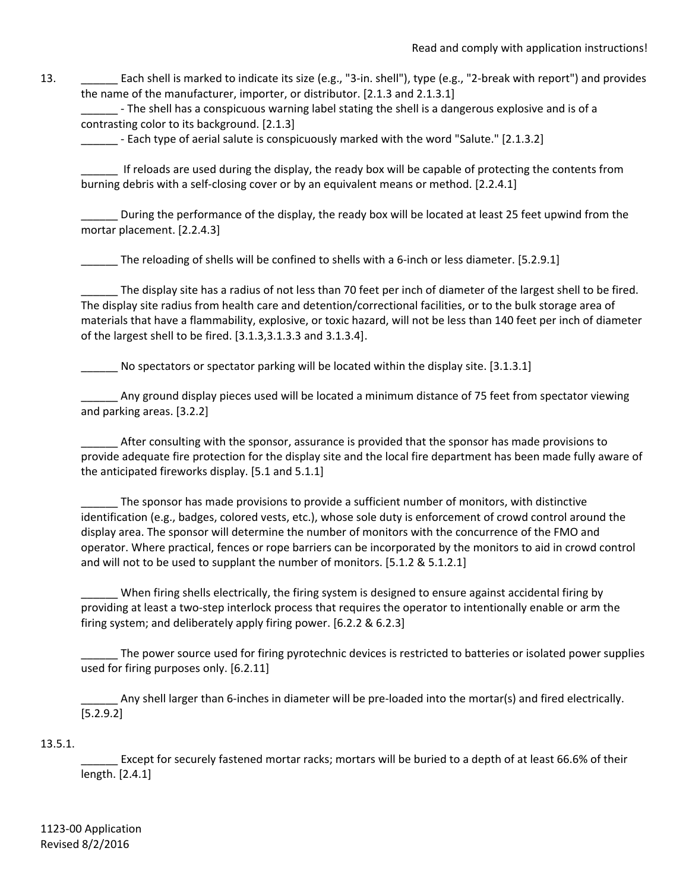13. \_\_\_\_\_\_\_ Each shell is marked to indicate its size (e.g., "3-in. shell"), type (e.g., "2-break with report") and provides the name of the manufacturer, importer, or distributor. [2.1.3 and 2.1.3.1]

- The shell has a conspicuous warning label stating the shell is a dangerous explosive and is of a contrasting color to its background. [2.1.3]

- Each type of aerial salute is conspicuously marked with the word "Salute." [2.1.3.2]

If reloads are used during the display, the ready box will be capable of protecting the contents from burning debris with a self-closing cover or by an equivalent means or method. [2.2.4.1]

\_\_\_\_\_\_ During the performance of the display, the ready box will be located at least 25 feet upwind from the mortar placement. [2.2.4.3]

\_\_\_\_\_\_ The reloading of shells will be confined to shells with a 6‐inch or less diameter. [5.2.9.1]

The display site has a radius of not less than 70 feet per inch of diameter of the largest shell to be fired. The display site radius from health care and detention/correctional facilities, or to the bulk storage area of materials that have a flammability, explosive, or toxic hazard, will not be less than 140 feet per inch of diameter of the largest shell to be fired. [3.1.3,3.1.3.3 and 3.1.3.4].

\_\_\_\_\_\_ No spectators or spectator parking will be located within the display site. [3.1.3.1]

\_\_\_\_\_\_ Any ground display pieces used will be located a minimum distance of 75 feet from spectator viewing and parking areas. [3.2.2]

\_\_\_\_\_\_ After consulting with the sponsor, assurance is provided that the sponsor has made provisions to provide adequate fire protection for the display site and the local fire department has been made fully aware of the anticipated fireworks display. [5.1 and 5.1.1]

\_\_\_\_\_\_ The sponsor has made provisions to provide a sufficient number of monitors, with distinctive identification (e.g., badges, colored vests, etc.), whose sole duty is enforcement of crowd control around the display area. The sponsor will determine the number of monitors with the concurrence of the FMO and operator. Where practical, fences or rope barriers can be incorporated by the monitors to aid in crowd control and will not to be used to supplant the number of monitors. [5.1.2 & 5.1.2.1]

When firing shells electrically, the firing system is designed to ensure against accidental firing by providing at least a two‐step interlock process that requires the operator to intentionally enable or arm the firing system; and deliberately apply firing power. [6.2.2 & 6.2.3]

The power source used for firing pyrotechnic devices is restricted to batteries or isolated power supplies used for firing purposes only. [6.2.11]

\_\_\_\_\_\_ Any shell larger than 6‐inches in diameter will be pre‐loaded into the mortar(s) and fired electrically. [5.2.9.2]

## 13.5.1.

Except for securely fastened mortar racks; mortars will be buried to a depth of at least 66.6% of their length. [2.4.1]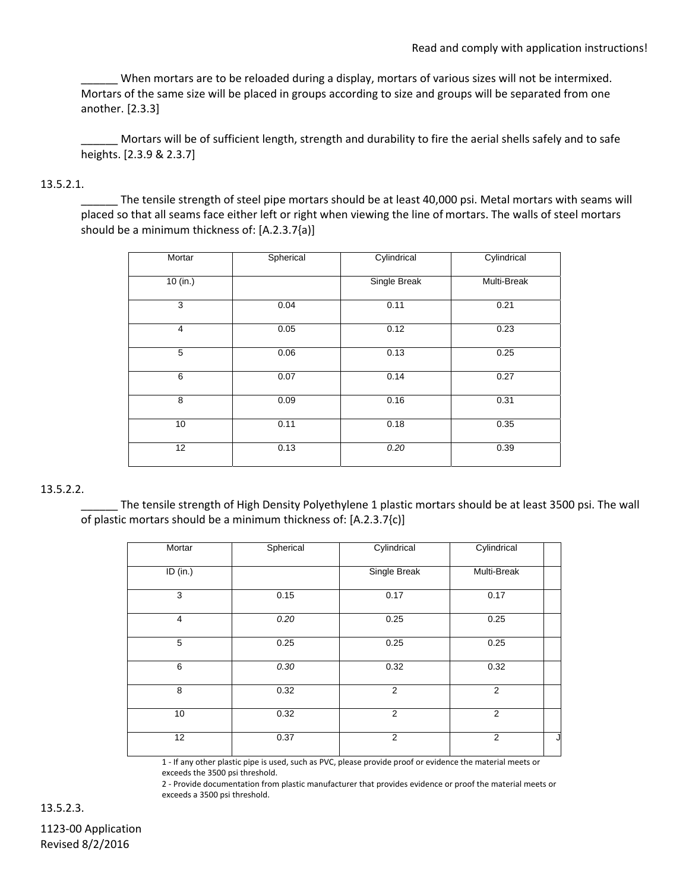When mortars are to be reloaded during a display, mortars of various sizes will not be intermixed. Mortars of the same size will be placed in groups according to size and groups will be separated from one another. [2.3.3]

Mortars will be of sufficient length, strength and durability to fire the aerial shells safely and to safe heights. [2.3.9 & 2.3.7]

## 13.5.2.1.

\_\_\_\_\_\_ The tensile strength of steel pipe mortars should be at least 40,000 psi. Metal mortars with seams will placed so that all seams face either left or right when viewing the line of mortars. The walls of steel mortars should be a minimum thickness of: [A.2.3.7{a)]

| Mortar   | Spherical | Cylindrical         | Cylindrical |
|----------|-----------|---------------------|-------------|
| 10 (in.) |           | <b>Single Break</b> | Multi-Break |
| 3        | 0.04      | 0.11                | 0.21        |
| 4        | 0.05      | 0.12                | 0.23        |
| 5        | 0.06      | 0.13                | 0.25        |
| 6        | 0.07      | 0.14                | 0.27        |
| 8        | 0.09      | 0.16                | 0.31        |
| 10       | 0.11      | 0.18                | 0.35        |
| 12       | 0.13      | 0.20                | 0.39        |

## 13.5.2.2.

The tensile strength of High Density Polyethylene 1 plastic mortars should be at least 3500 psi. The wall of plastic mortars should be a minimum thickness of: [A.2.3.7{c)]

| Mortar         | Spherical | Cylindrical    | Cylindrical    |   |
|----------------|-----------|----------------|----------------|---|
| ID (in.)       |           | Single Break   | Multi-Break    |   |
| 3              | 0.15      | 0.17           | 0.17           |   |
| $\overline{4}$ | 0.20      | 0.25           | 0.25           |   |
| $\overline{5}$ | 0.25      | 0.25           | 0.25           |   |
| 6              | 0.30      | 0.32           | 0.32           |   |
| 8              | 0.32      | 2              | 2              |   |
| 10             | 0.32      | $\overline{2}$ | $\overline{2}$ |   |
| 12             | 0.37      | 2              | $\overline{2}$ | J |

 1 ‐ If any other plastic pipe is used, such as PVC, please provide proof or evidence the material meets or exceeds the 3500 psi threshold.

 2 ‐ Provide documentation from plastic manufacturer that provides evidence or proof the material meets or exceeds a 3500 psi threshold.

13.5.2.3.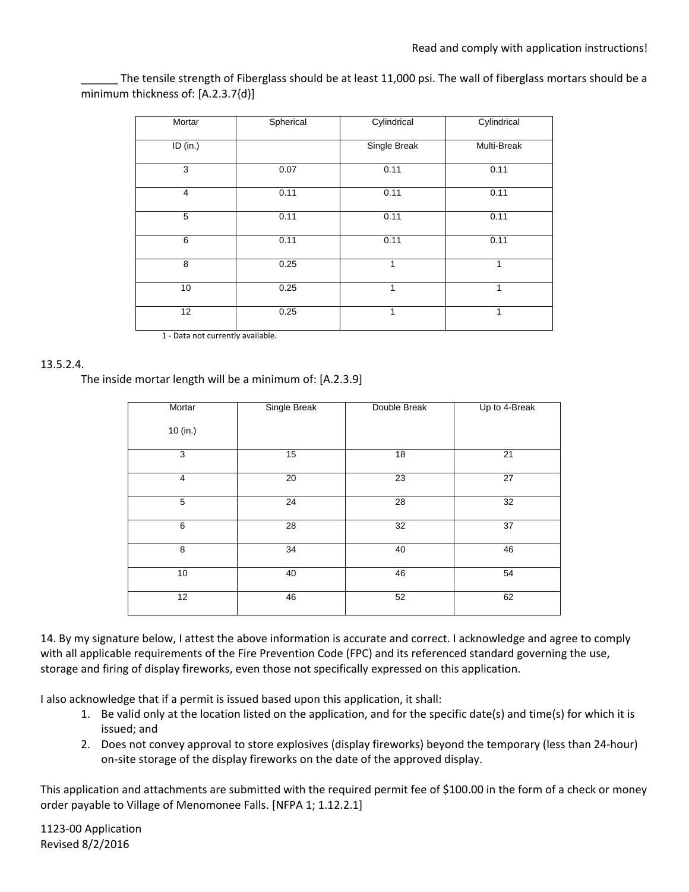The tensile strength of Fiberglass should be at least 11,000 psi. The wall of fiberglass mortars should be a minimum thickness of: [A.2.3.7{d)]

| Mortar         | Spherical | Cylindrical  | Cylindrical |
|----------------|-----------|--------------|-------------|
| ID (in.)       |           | Single Break | Multi-Break |
| 3              | 0.07      | 0.11         | 0.11        |
| $\overline{4}$ | 0.11      | 0.11         | 0.11        |
| 5              | 0.11      | 0.11         | 0.11        |
| 6              | 0.11      | 0.11         | 0.11        |
| 8              | 0.25      | 1            | 1           |
| 10             | 0.25      | 1            | 1           |
| 12             | 0.25      | 1            | 1           |

1 - Data not currently available.

### 13.5.2.4.

The inside mortar length will be a minimum of: [A.2.3.9]

| Mortar         | Single Break | Double Break | Up to 4-Break |
|----------------|--------------|--------------|---------------|
| 10 (in.)       |              |              |               |
| 3              | 15           | 18           | 21            |
| $\overline{4}$ | 20           | 23           | 27            |
| 5              | 24           | 28           | 32            |
| 6              | 28           | 32           | 37            |
| 8              | 34           | 40           | 46            |
| 10             | 40           | 46           | 54            |
| 12             | 46           | 52           | 62            |

14. By my signature below, I attest the above information is accurate and correct. I acknowledge and agree to comply with all applicable requirements of the Fire Prevention Code (FPC) and its referenced standard governing the use, storage and firing of display fireworks, even those not specifically expressed on this application.

I also acknowledge that if a permit is issued based upon this application, it shall:

- 1. Be valid only at the location listed on the application, and for the specific date(s) and time(s) for which it is issued; and
- 2. Does not convey approval to store explosives (display fireworks) beyond the temporary (less than 24‐hour) on‐site storage of the display fireworks on the date of the approved display.

This application and attachments are submitted with the required permit fee of \$100.00 in the form of a check or money order payable to Village of Menomonee Falls. [NFPA 1; 1.12.2.1]